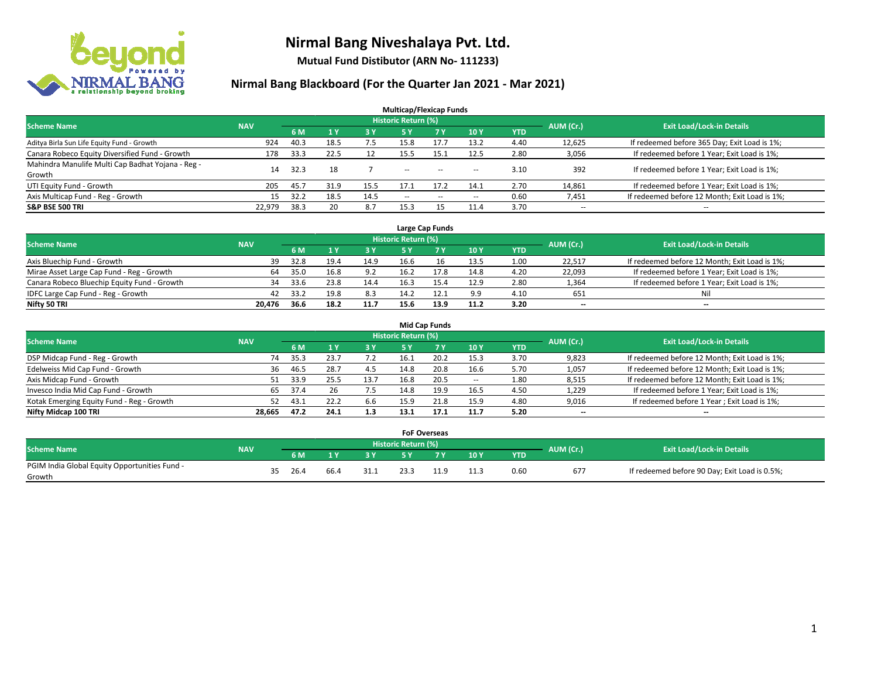

**Mutual Fund Distibutor (ARN No- 111233)**

|                                                   |            |      |                |            | <b>Multicap/Flexicap Funds</b> |           |        |            |                          |                                               |
|---------------------------------------------------|------------|------|----------------|------------|--------------------------------|-----------|--------|------------|--------------------------|-----------------------------------------------|
| <b>Scheme Name</b>                                | <b>NAV</b> |      |                |            | <b>Historic Return (%)</b>     |           |        |            | AUM (Cr.)                | <b>Exit Load/Lock-in Details</b>              |
|                                                   |            | 6 M  | 1 <sub>V</sub> | <b>3 Y</b> | 5 Y                            | <b>7Y</b> | 10Y    | <b>YTD</b> |                          |                                               |
| Aditya Birla Sun Life Equity Fund - Growth        | 924        | 40.3 | 18.5           | 7.5        | 15.8                           | 17.7      | 13.2   | 4.40       | 12,625                   | If redeemed before 365 Day; Exit Load is 1%;  |
| Canara Robeco Equity Diversified Fund - Growth    | 178        | 33.3 | 22.5           | 12         | 15.5                           | 15.1      | 12.5   | 2.80       | 3,056                    | If redeemed before 1 Year; Exit Load is 1%;   |
| Mahindra Manulife Multi Cap Badhat Yojana - Reg - | 14         | 32.3 | 18             |            | $\sim$                         | $\sim$    |        | 3.10       | 392                      | If redeemed before 1 Year; Exit Load is 1%;   |
| Growth                                            |            |      |                |            |                                |           | $\sim$ |            |                          |                                               |
| UTI Equity Fund - Growth                          | 205        | 45.7 | 31.9           | 15.5       | 17.1                           | 17.2      | 14.1   | 2.70       | 14,861                   | If redeemed before 1 Year; Exit Load is 1%;   |
| Axis Multicap Fund - Reg - Growth                 | 15         | 32.2 | 18.5           | 14.5       | $\overline{\phantom{a}}$       | $-$       | --     | 0.60       | 7,451                    | If redeemed before 12 Month; Exit Load is 1%; |
| <b>S&amp;P BSE 500 TRI</b>                        | 22,979     | 38.3 | 20             | 8.7        | 15.3                           | 15        | 11.4   | 3.70       | $\overline{\phantom{a}}$ | $- -$                                         |

|                                             |            |      |      |      |                            | Large Cap Funds |      |            |           |                                               |
|---------------------------------------------|------------|------|------|------|----------------------------|-----------------|------|------------|-----------|-----------------------------------------------|
| <b>Scheme Name</b>                          | <b>NAV</b> |      |      |      | <b>Historic Return (%)</b> |                 |      |            | AUM (Cr.) | <b>Exit Load/Lock-in Details</b>              |
|                                             |            | 6 M  |      | 3Y   |                            | <b>7Y</b>       | 10Y  | <b>YTD</b> |           |                                               |
| Axis Bluechip Fund - Growth                 | 39         | 32.8 | 19.4 | 14.9 | 16.6                       | 16              | 13.5 | 1.00       | 22,517    | If redeemed before 12 Month; Exit Load is 1%; |
| Mirae Asset Large Cap Fund - Reg - Growth   | 64         | 35.0 | 16.8 | 9.2  | 16.2                       | 17.8            | 14.8 | 4.20       | 22,093    | If redeemed before 1 Year; Exit Load is 1%;   |
| Canara Robeco Bluechip Equity Fund - Growth | 34         | 33.6 | 23.8 | 14.4 | 16.3                       |                 | 12.9 | 2.80       | 1,364     | If redeemed before 1 Year; Exit Load is 1%;   |
| IDFC Large Cap Fund - Reg - Growth          | 42         | 33.2 | 19.8 | 8.3  | 14.2                       |                 | 9.9  | 4.10       | 651       | Nil                                           |
| Nifty 50 TRI                                | 20.476     | 36.6 | 18.2 | 11.7 | 15.6                       | 13.9            | 11.2 | 3.20       | $- -$     | $-$                                           |

| <b>Mid Cap Funds</b>                      |            |                                  |      |           |      |      |       |            |                          |                                               |  |  |  |  |
|-------------------------------------------|------------|----------------------------------|------|-----------|------|------|-------|------------|--------------------------|-----------------------------------------------|--|--|--|--|
| <b>Scheme Name</b>                        | AUM (Cr.)  | <b>Exit Load/Lock-in Details</b> |      |           |      |      |       |            |                          |                                               |  |  |  |  |
|                                           | <b>NAV</b> | 6 M                              |      | <b>3Y</b> | 5 Y  |      | 10Y   | <b>YTD</b> |                          |                                               |  |  |  |  |
| DSP Midcap Fund - Reg - Growth            |            | 35.3<br>74                       | 23.7 | 7.2       | 16.1 | 20.2 | 15.3  | 3.70       | 9,823                    | If redeemed before 12 Month; Exit Load is 1%; |  |  |  |  |
| Edelweiss Mid Cap Fund - Growth           |            | 46.5<br>36                       | 28.7 | 4.5       | 14.8 | 20.8 | 16.6  | 5.70       | 1,057                    | If redeemed before 12 Month; Exit Load is 1%; |  |  |  |  |
| Axis Midcap Fund - Growth                 |            | 33.9                             | 25.5 | 13.7      | 16.8 | 20.5 | $\!-$ | 1.80       | 8,515                    | If redeemed before 12 Month; Exit Load is 1%; |  |  |  |  |
| Invesco India Mid Cap Fund - Growth       |            | 65<br>37.4                       | 26   | 7.5       | 14.8 | 19.9 | 16.5  | 4.50       | 1,229                    | If redeemed before 1 Year; Exit Load is 1%;   |  |  |  |  |
| Kotak Emerging Equity Fund - Reg - Growth |            | 43.1<br>52                       | 22.2 | 6.6       | 15.9 | 21.8 | 15.9  | 4.80       | 9,016                    | If redeemed before 1 Year; Exit Load is 1%;   |  |  |  |  |
| Nifty Midcap 100 TRI                      | 28.665     | 47.2                             | 24.1 | 1.3       | 13.1 | 17.1 | 11.7  | 5.20       | $\overline{\phantom{m}}$ | $\overline{\phantom{a}}$                      |  |  |  |  |

|                                               |            |    |      |      |      | <b>FoF Overseas</b>        |     |      |           |                                               |
|-----------------------------------------------|------------|----|------|------|------|----------------------------|-----|------|-----------|-----------------------------------------------|
| Scheme Name                                   | <b>NAV</b> |    |      |      |      | <b>Historic Return (%)</b> |     |      | AUM (Cr.) | <b>Exit Load/Lock-in Details</b>              |
|                                               |            |    | 6 M  |      |      |                            | 10Y | YTD' |           |                                               |
| PGIM India Global Equity Opportunities Fund - |            | 35 | 26.4 | 66.4 | 31.1 | 23.3                       |     | 0.60 | 677       | If redeemed before 90 Day; Exit Load is 0.5%; |
| Growth                                        |            |    |      |      |      |                            |     |      |           |                                               |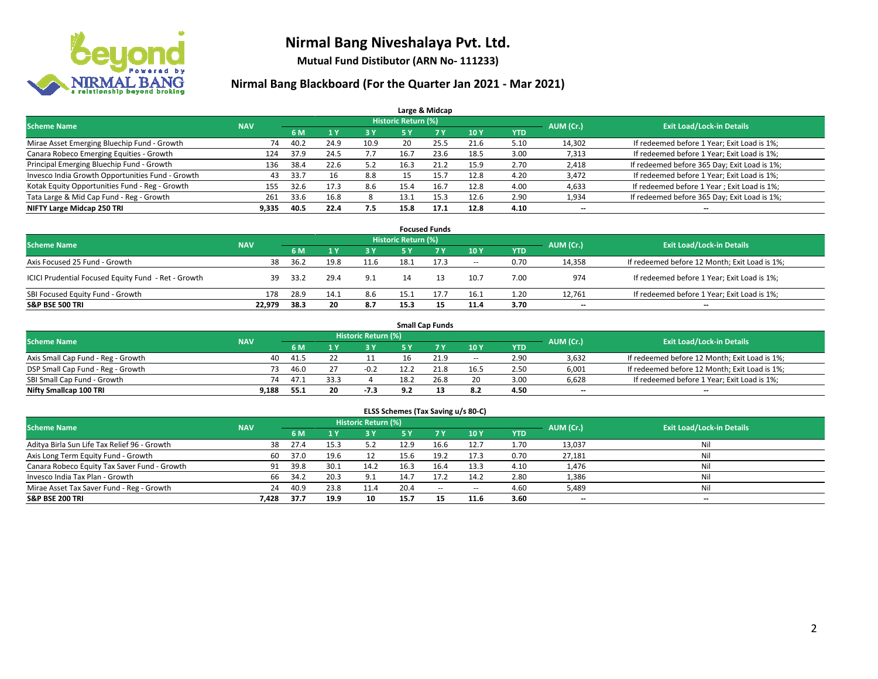

**Mutual Fund Distibutor (ARN No- 111233)**

|                                                  |            |      |                |           |                            | Large & Midcap |      |            |           |                                              |
|--------------------------------------------------|------------|------|----------------|-----------|----------------------------|----------------|------|------------|-----------|----------------------------------------------|
| <b>Scheme Name</b>                               | <b>NAV</b> |      |                |           | <b>Historic Return (%)</b> |                |      |            | AUM (Cr.) | <b>Exit Load/Lock-in Details</b>             |
|                                                  |            | 6 M  | 4 <sub>y</sub> | <b>3Y</b> | <b>5 Y</b>                 | <b>7Y</b>      | 10Y  | <b>YTD</b> |           |                                              |
| Mirae Asset Emerging Bluechip Fund - Growth      | 74         | 40.2 | 24.9           | 10.9      | 20                         | 25.5           | 21.6 | 5.10       | 14,302    | If redeemed before 1 Year; Exit Load is 1%;  |
| Canara Robeco Emerging Equities - Growth         | 124        | 37.9 | 24.5           | 7.7       | 16.7                       | 23.6           | 18.5 | 3.00       | 7,313     | If redeemed before 1 Year; Exit Load is 1%;  |
| Principal Emerging Bluechip Fund - Growth        | 136        | 38.4 | 22.6           | 5.2       | 16.3                       | 21.2           | 15.9 | 2.70       | 2,418     | If redeemed before 365 Day; Exit Load is 1%; |
| Invesco India Growth Opportunities Fund - Growth | 43         | 33.7 |                | 8.8       |                            | 15.7           | 12.8 | 4.20       | 3,472     | If redeemed before 1 Year; Exit Load is 1%;  |
| Kotak Equity Opportunities Fund - Reg - Growth   | 155        | 32.6 | 17.3           | 8.6       | 15.4                       | 16.7           | 12.8 | 4.00       | 4,633     | If redeemed before 1 Year; Exit Load is 1%;  |
| Tata Large & Mid Cap Fund - Reg - Growth         | 261        | 33.6 | 16.8           |           | 13.1                       | 15.3           | 12.6 | 2.90       | 1,934     | If redeemed before 365 Day; Exit Load is 1%; |
| NIFTY Large Midcap 250 TRI                       | 9.335      | 40.5 | 22.4           | 7.5       | 15.8                       | 17.1           | 12.8 | 4.10       | --        | --                                           |

|                                                     |            |      |      |      |                     | <b>Focused Funds</b> |        |            |           |                                               |
|-----------------------------------------------------|------------|------|------|------|---------------------|----------------------|--------|------------|-----------|-----------------------------------------------|
| <b>Scheme Name</b>                                  | <b>NAV</b> |      |      |      | Historic Return (%) |                      |        |            | AUM (Cr.) | <b>Exit Load/Lock-in Details</b>              |
|                                                     |            | 6 M  |      | 3 Y  | 5 ۷                 |                      | 10Y    | <b>YTD</b> |           |                                               |
| Axis Focused 25 Fund - Growth                       | 38         | 36.2 | 19.8 | 11.6 | 18.1                |                      | $\sim$ | 0.70       | 14,358    | If redeemed before 12 Month; Exit Load is 1%; |
| ICICI Prudential Focused Equity Fund - Ret - Growth | 39         | 33.2 | 29.4 | 9.1  |                     |                      | 10.7   | 7.00       | 974       | If redeemed before 1 Year; Exit Load is 1%;   |
| SBI Focused Equity Fund - Growth                    | 178        | 28.9 | 14.1 | 8.6  | 15.1                |                      | 16.1   | 1.20       | 12,761    | If redeemed before 1 Year; Exit Load is 1%;   |
| <b>S&amp;P BSE 500 TRI</b>                          | 22.979     | 38.3 | 20   | 8.7  | 15.3                |                      | 11.4   | 3.70       | $- -$     | $\overline{\phantom{a}}$                      |

|                                    |            |      |      |                            |      | <b>Small Cap Funds</b> |                          |            |           |                                               |
|------------------------------------|------------|------|------|----------------------------|------|------------------------|--------------------------|------------|-----------|-----------------------------------------------|
| <b>Scheme Name</b>                 | <b>NAV</b> |      |      | <b>Historic Return (%)</b> |      |                        |                          |            | AUM (Cr.) | <b>Exit Load/Lock-in Details</b>              |
|                                    |            | 6 M  |      |                            |      |                        | 10Y                      | <b>YTD</b> |           |                                               |
| Axis Small Cap Fund - Reg - Growth | 40         | 41.5 |      |                            |      | 21.9                   | $\overline{\phantom{a}}$ | 2.90       | 3,632     | If redeemed before 12 Month; Exit Load is 1%; |
| DSP Small Cap Fund - Reg - Growth  | 73         | 46.0 |      | -0.2                       | 12.2 | 21.8                   | 16.5                     | 2.50       | 6,001     | If redeemed before 12 Month; Exit Load is 1%; |
| SBI Small Cap Fund - Growth        | 74         | 47.1 | 33.3 |                            | 18.2 | 26.8                   | 20                       | 3.00       | 6,628     | If redeemed before 1 Year; Exit Load is 1%;   |
| Nifty Smallcap 100 TRI             | 9.188      | 55.1 | 20   | $-7.3$                     |      |                        | 8.2                      | 4.50       | $- -$     | $\overline{\phantom{a}}$                      |

| ELSS Schemes (Tax Saving u/s 80-C)           |            |      |      |                     |           |        |        |            |           |                                  |  |  |  |
|----------------------------------------------|------------|------|------|---------------------|-----------|--------|--------|------------|-----------|----------------------------------|--|--|--|
| <b>Scheme Name</b>                           | <b>NAV</b> |      |      | Historic Return (%) |           |        |        |            | AUM (Cr.) | <b>Exit Load/Lock-in Details</b> |  |  |  |
|                                              |            | 6 M  | 1Y   | 3 Y                 | <b>5Y</b> | 7V     | 10Y    | <b>YTD</b> |           |                                  |  |  |  |
| Aditya Birla Sun Life Tax Relief 96 - Growth | 38         | 27.4 | 15.3 | 5.2                 | 12.9      | 16.6   | 12.7   | 1.70       | 13,037    | Ni                               |  |  |  |
| Axis Long Term Equity Fund - Growth          | 60         | 37.0 | 19.6 | 12                  | 15.6      | 19.2   | 17.3   | 0.70       | 27,181    | Ni                               |  |  |  |
| Canara Robeco Equity Tax Saver Fund - Growth | 91         | 39.8 | 30.1 | 14.2                | 16.3      | 16.4   | 13.3   | 4.10       | 1,476     | Ni                               |  |  |  |
| Invesco India Tax Plan - Growth              | 66         | 34.2 | 20.3 | 9.1                 | 14.7      | 17.2   | 14.2   | 2.80       | 1,386     | Nil                              |  |  |  |
| Mirae Asset Tax Saver Fund - Reg - Growth    | 24         | 40.9 | 23.8 | 11.4                | 20.4      | $\sim$ | $\sim$ | 4.60       | 5,489     | Nil                              |  |  |  |
| S&P BSE 200 TRI                              | 7.428      | 37.7 | 19.9 | 10                  | 15.7      | 15     | 11.6   | 3.60       | $- -$     | $-$                              |  |  |  |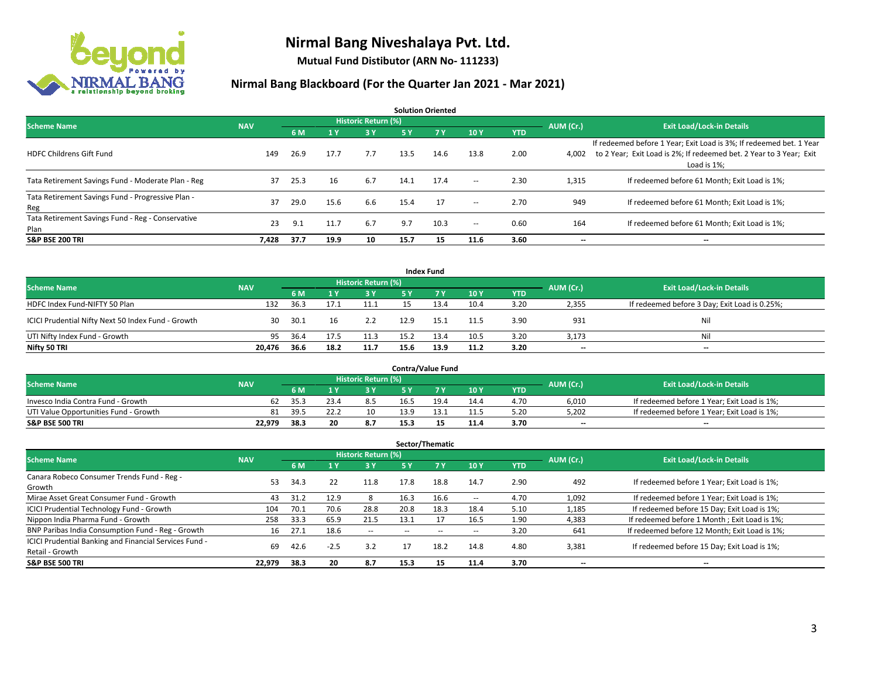

**Mutual Fund Distibutor (ARN No- 111233)**

|                                                           |            |      |      |                            |      | <b>Solution Oriented</b> |        |            |           |                                                                                                                                                           |
|-----------------------------------------------------------|------------|------|------|----------------------------|------|--------------------------|--------|------------|-----------|-----------------------------------------------------------------------------------------------------------------------------------------------------------|
| <b>Scheme Name</b>                                        | <b>NAV</b> |      |      | <b>Historic Return (%)</b> |      |                          |        |            | AUM (Cr.) | <b>Exit Load/Lock-in Details</b>                                                                                                                          |
|                                                           |            | 6 M  | 1 Y  | 3 Y                        | 5 Y  | 7Y                       | 10Y    | <b>YTD</b> |           |                                                                                                                                                           |
| <b>HDFC Childrens Gift Fund</b>                           | 149        | 26.9 | 17.7 | 7.7                        | 13.5 | 14.6                     | 13.8   | 2.00       | 4.002     | If redeemed before 1 Year; Exit Load is 3%; If redeemed bet. 1 Year<br>to 2 Year; Exit Load is 2%; If redeemed bet. 2 Year to 3 Year; Exit<br>Load is 1%; |
| Tata Retirement Savings Fund - Moderate Plan - Reg        | 37         | 25.3 | 16   | 6.7                        | 14.1 | 17.4                     | $\sim$ | 2.30       | 1,315     | If redeemed before 61 Month; Exit Load is 1%;                                                                                                             |
| Tata Retirement Savings Fund - Progressive Plan -<br>Reg  | 37         | 29.0 | 15.6 | 6.6                        | 15.4 | 17                       | $\sim$ | 2.70       | 949       | If redeemed before 61 Month; Exit Load is 1%;                                                                                                             |
| Tata Retirement Savings Fund - Reg - Conservative<br>Plan | 23         | 9.1  | 11.7 | 6.7                        | 9.7  | 10.3                     | $\sim$ | 0.60       | 164       | If redeemed before 61 Month: Exit Load is 1%:                                                                                                             |
| <b>S&amp;P BSE 200 TRI</b>                                | 7,428      | 37.7 | 19.9 | 10                         | 15.7 | 15                       | 11.6   | 3.60       | --        | --                                                                                                                                                        |

|                                                    |            |      |           |                                  |      | <b>Index Fund</b> |      |            |       |                                               |
|----------------------------------------------------|------------|------|-----------|----------------------------------|------|-------------------|------|------------|-------|-----------------------------------------------|
| <b>Scheme Name</b>                                 | <b>NAV</b> |      | AUM (Cr.) | <b>Exit Load/Lock-in Details</b> |      |                   |      |            |       |                                               |
|                                                    |            | 6 M  |           | 3 Y                              | 5 Y  | <b>7Y</b>         | 10Y  | <b>YTD</b> |       |                                               |
| HDFC Index Fund-NIFTY 50 Plan                      | 132        | 36.3 |           | 11.1                             |      | 13.4              | 10.4 | 3.20       | 2,355 | If redeemed before 3 Day; Exit Load is 0.25%; |
| ICICI Prudential Nifty Next 50 Index Fund - Growth | 30         | 30.1 | 16        | 2.2                              | 12.9 | 15.1              | 11.5 | 3.90       | 931   | Nil                                           |
| UTI Nifty Index Fund - Growth                      | 95         | 36.4 | 17.5      | 11.3                             | 15.2 | 13.4              | 10.5 | 3.20       | 3,173 | Nil                                           |
| Nifty 50 TRI                                       | 20,476     | 36.6 | 18.2      | 11.7                             | 15.6 | 13.9              | 11.2 | 3.20       | $- -$ | $\overline{\phantom{a}}$                      |

|                                       |            |      |    |                     |      | <b>Contra/Value Fund</b> |      |      |           |                                             |
|---------------------------------------|------------|------|----|---------------------|------|--------------------------|------|------|-----------|---------------------------------------------|
| <b>Scheme Name</b>                    | <b>NAV</b> |      |    | Historic Return (%) |      |                          |      |      | AUM (Cr.) | <b>Exit Load/Lock-in Details</b>            |
|                                       |            | 6 M  |    | 3 Y                 |      |                          | 10Y  | YTD  |           |                                             |
| Invesco India Contra Fund - Growth    | 62         | 35.3 |    | 8.5                 | 16.5 | 19 <sub>1</sub>          | 14.4 | 4.70 | 6,010     | If redeemed before 1 Year; Exit Load is 1%; |
| UTI Value Opportunities Fund - Growth | 81         | 39.5 |    | 10                  | 13.9 |                          | 11.5 | 5.20 | 5,202     | If redeemed before 1 Year; Exit Load is 1%; |
| <b>S&amp;P BSE 500 TRI</b>            | 22.979     | 38.3 | 20 | 8.7                 | 15.3 |                          | 11.4 | 3.70 | $- -$     | $\overline{\phantom{a}}$                    |

|                                                                           |            |      |                         |                            |      | Sector/Thematic |      |            |           |                                               |
|---------------------------------------------------------------------------|------------|------|-------------------------|----------------------------|------|-----------------|------|------------|-----------|-----------------------------------------------|
| <b>Scheme Name</b>                                                        | <b>NAV</b> |      |                         | <b>Historic Return (%)</b> |      |                 |      |            | AUM (Cr.) | <b>Exit Load/Lock-in Details</b>              |
|                                                                           |            | 6 M  | $\mathbf{A} \mathbf{v}$ | <b>3Y</b>                  | 5 Y  | 7 Y             | 10Y  | <b>YTD</b> |           |                                               |
| Canara Robeco Consumer Trends Fund - Reg -<br>Growth                      | 53         | 34.3 | 22                      | 11.8                       | 17.8 | 18.8            | 14.7 | 2.90       | 492       | If redeemed before 1 Year; Exit Load is 1%;   |
| Mirae Asset Great Consumer Fund - Growth                                  | 43         | 31.2 | 12.9                    |                            | 16.3 | 16.6            | --   | 4.70       | 1,092     | If redeemed before 1 Year; Exit Load is 1%;   |
| ICICI Prudential Technology Fund - Growth                                 | 104        | 70.1 | 70.6                    | 28.8                       | 20.8 | 18.3            | 18.4 | 5.10       | 1,185     | If redeemed before 15 Day; Exit Load is 1%;   |
| Nippon India Pharma Fund - Growth                                         | 258        | 33.3 | 65.9                    | 21.5                       | 13.1 |                 | 16.5 | 1.90       | 4,383     | If redeemed before 1 Month; Exit Load is 1%;  |
| BNP Paribas India Consumption Fund - Reg - Growth                         | 16         | 27.1 | 18.6                    | $\sim$                     | --   | --              | --   | 3.20       | 641       | If redeemed before 12 Month; Exit Load is 1%; |
| ICICI Prudential Banking and Financial Services Fund -<br>Retail - Growth | 69         | 42.6 | $-2.5$                  | 3.2                        | 17   | 18.2            | 14.8 | 4.80       | 3,381     | If redeemed before 15 Day; Exit Load is 1%;   |
| <b>S&amp;P BSE 500 TRI</b>                                                | 22.979     | 38.3 | 20                      | 8.7                        | 15.3 | 15              | 11.4 | 3.70       | --        | --                                            |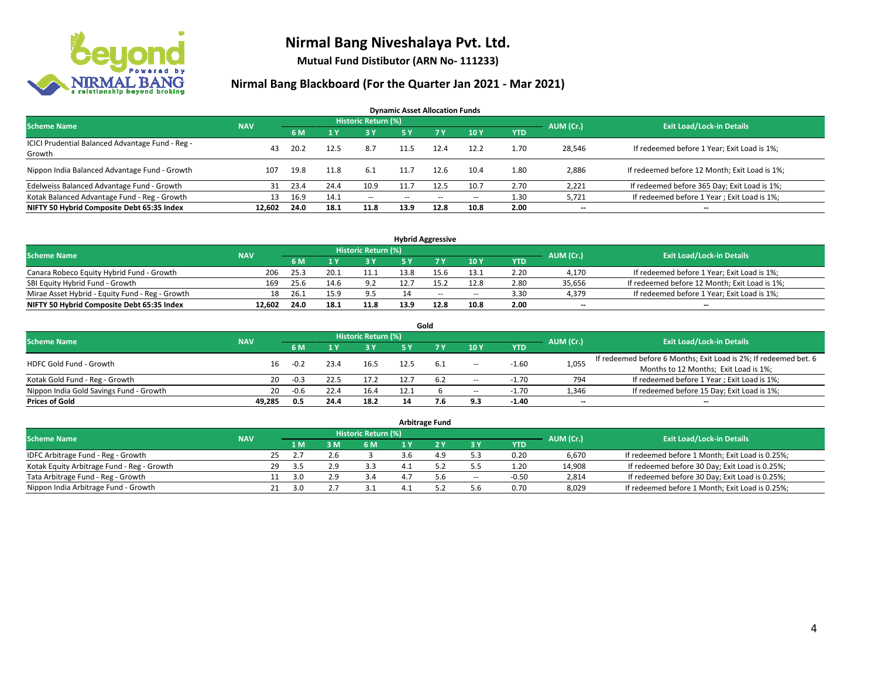

**Mutual Fund Distibutor (ARN No- 111233)**

| <b>Dynamic Asset Allocation Funds</b>                      |            |      |      |                     |               |      |                          |            |                          |                                               |  |  |  |
|------------------------------------------------------------|------------|------|------|---------------------|---------------|------|--------------------------|------------|--------------------------|-----------------------------------------------|--|--|--|
| <b>Scheme Name</b>                                         | <b>NAV</b> |      |      | Historic Return (%) |               |      |                          |            | AUM (Cr.)                | <b>Exit Load/Lock-in Details</b>              |  |  |  |
|                                                            |            | 6 M  |      | 73 Y.               | 5 Y           | 7Y   | 10Y                      | <b>YTD</b> |                          |                                               |  |  |  |
| ICICI Prudential Balanced Advantage Fund - Reg -<br>Growth | 43         | 20.2 | 12.5 | 8.7                 | 11.5          | 12.4 | 12.2                     | 1.70       | 28,546                   | If redeemed before 1 Year; Exit Load is 1%;   |  |  |  |
| Nippon India Balanced Advantage Fund - Growth              | 107        | 19.8 | 11.8 | 6.1                 | 11.7          | 12.6 | 10.4                     | 1.80       | 2,886                    | If redeemed before 12 Month; Exit Load is 1%; |  |  |  |
| Edelweiss Balanced Advantage Fund - Growth                 | 31         | 23.4 | 24.4 | 10.9                | 11.7          | 12.5 | 10.7                     | 2.70       | 2,221                    | If redeemed before 365 Day; Exit Load is 1%;  |  |  |  |
| Kotak Balanced Advantage Fund - Reg - Growth               | 13         | 16.9 | 14.1 | $\sim$ $-$          | $\sim$ $\sim$ | $-$  | $\overline{\phantom{a}}$ | 1.30       | 5,721                    | If redeemed before 1 Year; Exit Load is 1%;   |  |  |  |
| NIFTY 50 Hybrid Composite Debt 65:35 Index                 | 12.602     | 24.0 | 18.1 | 11.8                | 13.9          | 12.8 | 10.8                     | 2.00       | $\overline{\phantom{a}}$ | $\overline{\phantom{a}}$                      |  |  |  |

| <b>Hybrid Aggressive</b>                        |            |           |                                  |      |      |      |        |            |        |                                               |  |  |  |  |
|-------------------------------------------------|------------|-----------|----------------------------------|------|------|------|--------|------------|--------|-----------------------------------------------|--|--|--|--|
| <b>Scheme Name</b>                              | <b>NAV</b> | AUM (Cr.) | <b>Exit Load/Lock-in Details</b> |      |      |      |        |            |        |                                               |  |  |  |  |
|                                                 |            | 6 M       |                                  | 3 Y  |      |      | 10Y    | <b>YTD</b> |        |                                               |  |  |  |  |
| Canara Robeco Equity Hybrid Fund - Growth       | 206        | 25.3      | 20.1                             | 11.1 | 13.8 |      | 13.1   | 2.20       | 4,170  | If redeemed before 1 Year; Exit Load is 1%;   |  |  |  |  |
| SBI Equity Hybrid Fund - Growth                 | 169        | 25.6      | 14.6                             | 9.2  |      |      | 12.8   | 2.80       | 35,656 | If redeemed before 12 Month; Exit Load is 1%; |  |  |  |  |
| Mirae Asset Hybrid - Equity Fund - Reg - Growth | 18         | 26.1      |                                  | 9.5  |      | $-$  | $\sim$ | 3.30       | 4,379  | If redeemed before 1 Year; Exit Load is 1%;   |  |  |  |  |
| NIFTY 50 Hybrid Composite Debt 65:35 Index      | 12.602     | 24.0      | 18.1                             | 11.8 | 13.9 | 12.8 | 10.8   | 2.00       | $- -$  | $\overline{\phantom{a}}$                      |  |  |  |  |

| Gold                                    |            |        |      |                     |      |      |                          |            |                          |                                                                  |  |  |  |  |
|-----------------------------------------|------------|--------|------|---------------------|------|------|--------------------------|------------|--------------------------|------------------------------------------------------------------|--|--|--|--|
| <b>Scheme Name</b>                      | <b>NAV</b> |        |      | Historic Return (%) |      |      |                          |            | AUM (Cr.)                | <b>Exit Load/Lock-in Details</b>                                 |  |  |  |  |
|                                         |            | 6 M    |      | 3 Y                 | 5 Y  |      | 10Y                      | <b>YTD</b> |                          |                                                                  |  |  |  |  |
| HDFC Gold Fund - Growth                 | 16         | $-0.2$ | 23.4 | 16.5                | 12.5 | -6.1 |                          | $-1.60$    | 1,055                    | If redeemed before 6 Months; Exit Load is 2%; If redeemed bet. 6 |  |  |  |  |
|                                         |            |        |      |                     |      |      | $- -$                    |            |                          | Months to 12 Months; Exit Load is 1%;                            |  |  |  |  |
| Kotak Gold Fund - Reg - Growth          | 20         | $-0.3$ |      | 17.2                |      | 6.2  | $\sim$                   | $-1.70$    | 794                      | If redeemed before 1 Year; Exit Load is 1%;                      |  |  |  |  |
| Nippon India Gold Savings Fund - Growth | 20         | $-0.6$ | 22.4 | 16.4                | 12.1 |      | $\overline{\phantom{a}}$ | $-1.70$    | 1,346                    | If redeemed before 15 Day; Exit Load is 1%;                      |  |  |  |  |
| <b>Prices of Gold</b>                   | 49.285     | 0.5    | 24.4 | 18.2                | 14   |      | 9.3                      | $-1.40$    | $\overline{\phantom{a}}$ | --                                                               |  |  |  |  |

| <b>Arbitrage Fund</b>                      |            |    |      |     |                            |  |     |                          |            |           |                                                 |  |  |
|--------------------------------------------|------------|----|------|-----|----------------------------|--|-----|--------------------------|------------|-----------|-------------------------------------------------|--|--|
| <b>Scheme Name</b>                         | <b>NAV</b> |    |      |     | <b>Historic Return (%)</b> |  |     |                          |            | AUM (Cr.) | <b>Exit Load/Lock-in Details</b>                |  |  |
|                                            |            |    | 1 M. | 3 M | 6 M                        |  |     | <b>3 Y</b>               | <b>YTD</b> |           |                                                 |  |  |
| IDFC Arbitrage Fund - Reg - Growth         |            | 25 |      |     |                            |  | 49  | 52                       | 0.20       | 6,670     | If redeemed before 1 Month; Exit Load is 0.25%; |  |  |
| Kotak Equity Arbitrage Fund - Reg - Growth |            | 29 | -3.5 | 2.9 |                            |  |     |                          | 1.20       | 14,908    | If redeemed before 30 Day; Exit Load is 0.25%;  |  |  |
| Tata Arbitrage Fund - Reg - Growth         |            |    | 3.0  | າ ດ | 3.4                        |  | 5.6 | $\overline{\phantom{a}}$ | $-0.50$    | 2,814     | If redeemed before 30 Day; Exit Load is 0.25%;  |  |  |
| Nippon India Arbitrage Fund - Growth       |            |    | 3.0  |     |                            |  |     | 5.6                      | 0.70       | 8,029     | If redeemed before 1 Month; Exit Load is 0.25%; |  |  |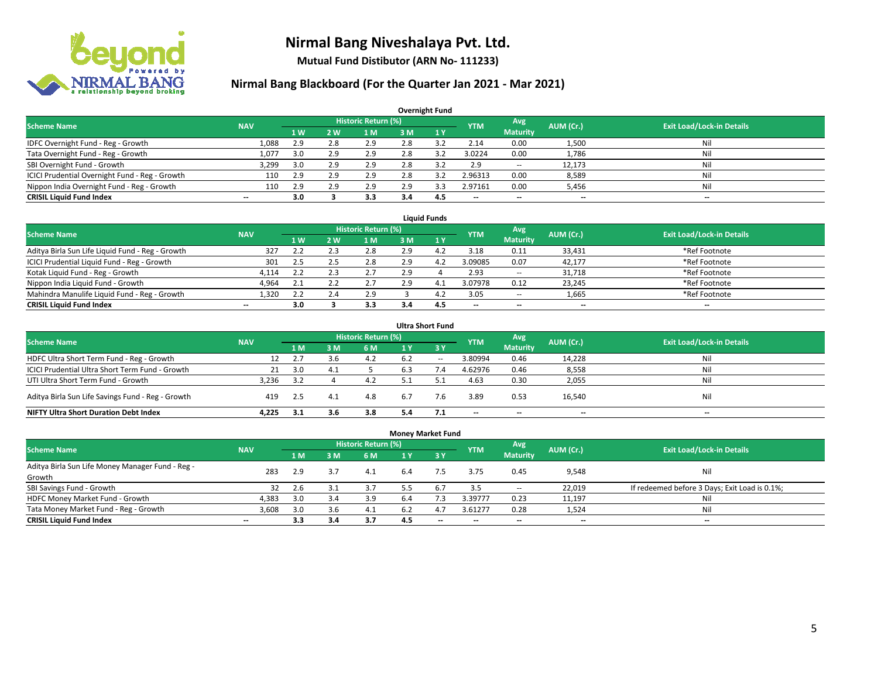

**Mutual Fund Distibutor (ARN No- 111233)**

| <b>Overnight Fund</b>                          |            |                   |     |                            |     |     |                          |                 |           |                                  |  |  |  |  |
|------------------------------------------------|------------|-------------------|-----|----------------------------|-----|-----|--------------------------|-----------------|-----------|----------------------------------|--|--|--|--|
| <b>Scheme Name</b>                             | <b>NAV</b> |                   |     | <b>Historic Return (%)</b> |     |     | <b>YTM</b>               | Avg.            | AUM (Cr.) | <b>Exit Load/Lock-in Details</b> |  |  |  |  |
|                                                |            | $4 \, \mathrm{W}$ | 2 W | 1 M                        | 3 M | 1Y  |                          | <b>Maturity</b> |           |                                  |  |  |  |  |
| IDFC Overnight Fund - Reg - Growth             | 1,088      | 2.9               | 2.8 | 2.9                        | 2.8 |     | 2.14                     | 0.00            | 1,500     | Nil                              |  |  |  |  |
| Tata Overnight Fund - Reg - Growth             | 1,077      | 3.0               | 2.9 | 2.9                        | 2.8 | 3.2 | 3.0224                   | 0.00            | 1,786     | Nil                              |  |  |  |  |
| SBI Overnight Fund - Growth                    | 3,299      | 3.0               | 2.9 | 2.9                        | 2.8 |     | 2.9                      | $\sim$          | 12,173    | Nil                              |  |  |  |  |
| ICICI Prudential Overnight Fund - Reg - Growth | 110        | 2.9               | 2.9 | 2.9                        | 2.8 |     | 2.96313                  | 0.00            | 8,589     | Nil                              |  |  |  |  |
| Nippon India Overnight Fund - Reg - Growth     | 110        | 2.9               | 2.9 | 2.9                        | 2.9 |     | 2.97161                  | 0.00            | 5,456     | Nil                              |  |  |  |  |
| <b>CRISIL Liquid Fund Index</b>                | --         | 3.0               |     | 3.3                        | 3.4 | 4.5 | $\overline{\phantom{a}}$ | --              | $- -$     | --                               |  |  |  |  |

| <b>Liquid Funds</b>                              |            |           |     |                            |     |                |            |                          |                          |                                  |  |  |  |
|--------------------------------------------------|------------|-----------|-----|----------------------------|-----|----------------|------------|--------------------------|--------------------------|----------------------------------|--|--|--|
| <b>Scheme Name</b>                               | <b>NAV</b> |           |     | <b>Historic Return (%)</b> |     |                | <b>YTM</b> | Avg                      | AUM (Cr.)                | <b>Exit Load/Lock-in Details</b> |  |  |  |
|                                                  |            | <b>1W</b> | 2 W | 1 M                        | з м |                |            | <b>Maturity</b>          |                          |                                  |  |  |  |
| Aditya Birla Sun Life Liquid Fund - Reg - Growth | 327        | 2.2       |     | 2.8                        | 2.9 | $\overline{a}$ | 3.18       | 0.11                     | 33,431                   | *Ref Footnote                    |  |  |  |
| ICICI Prudential Liquid Fund - Reg - Growth      | 301        | 2.5       |     | 2.8                        | 2.9 | 4.7            | 3.09085    | 0.07                     | 42,177                   | *Ref Footnote                    |  |  |  |
| Kotak Liquid Fund - Reg - Growth                 | 4.114      | 2.2       |     | 2.7                        | 2.9 |                | 2.93       | $\sim$                   | 31,718                   | *Ref Footnote                    |  |  |  |
| Nippon India Liquid Fund - Growth                | 4,964      |           |     | 2.7                        | 2.9 | 4.1            | 3.07978    | 0.12                     | 23,245                   | *Ref Footnote                    |  |  |  |
| Mahindra Manulife Liquid Fund - Reg - Growth     | 1,320      | 2.2       |     | 2.9                        |     | 4.             | 3.05       | $\sim$                   | 1,665                    | *Ref Footnote                    |  |  |  |
| <b>CRISIL Liquid Fund Index</b>                  | $- -$      | 3.0       |     | 3.3                        | 3.4 | 4.5            | $- -$      | $\overline{\phantom{a}}$ | $\overline{\phantom{a}}$ | $-$                              |  |  |  |

| <b>Ultra Short Fund</b>                           |                                                                                                                                      |     |                |     |     |       |                          |                          |        |     |  |  |  |  |  |
|---------------------------------------------------|--------------------------------------------------------------------------------------------------------------------------------------|-----|----------------|-----|-----|-------|--------------------------|--------------------------|--------|-----|--|--|--|--|--|
|                                                   | <b>Historic Return (%)</b><br>Avg<br><b>Exit Load/Lock-in Details</b><br>AUM (Cr.)<br><b>Scheme Name</b><br><b>NAV</b><br><b>YTM</b> |     |                |     |     |       |                          |                          |        |     |  |  |  |  |  |
|                                                   |                                                                                                                                      | 1 M | 3 <sub>M</sub> | 6 M | 1 Y | 3Y    |                          | <b>Maturity</b>          |        |     |  |  |  |  |  |
| HDFC Ultra Short Term Fund - Reg - Growth         | 12                                                                                                                                   | 2.7 | 3.b            | 4.2 | 6.2 | $- -$ | 3.80994                  | 0.46                     | 14,228 | Nil |  |  |  |  |  |
| ICICI Prudential Ultra Short Term Fund - Growth   | 21                                                                                                                                   | 3.0 | 4.1            |     | 6.3 | 7.4   | 4.62976                  | 0.46                     | 8,558  | Nil |  |  |  |  |  |
| UTI Ultra Short Term Fund - Growth                | 3.236                                                                                                                                | 3.2 |                | 4.2 | с.  |       | 4.63                     | 0.30                     | 2,055  | Ni  |  |  |  |  |  |
| Aditya Birla Sun Life Savings Fund - Reg - Growth | 419                                                                                                                                  | 2.5 | 4.1            | 4.8 | 6.7 | 7.6   | 3.89                     | 0.53                     | 16,540 | Nil |  |  |  |  |  |
| <b>NIFTY Ultra Short Duration Debt Index</b>      | 4.225                                                                                                                                | 3.1 | 3.6            | 3.8 | 5.4 |       | $\overline{\phantom{a}}$ | $\overline{\phantom{a}}$ | $- -$  | $-$ |  |  |  |  |  |

| <b>Money Market Fund</b>                                                                                                             |                          |     |     |     |                |             |         |                          |        |                                               |  |  |  |  |
|--------------------------------------------------------------------------------------------------------------------------------------|--------------------------|-----|-----|-----|----------------|-------------|---------|--------------------------|--------|-----------------------------------------------|--|--|--|--|
| <b>Historic Return (%)</b><br>Avg<br><b>Scheme Name</b><br><b>Exit Load/Lock-in Details</b><br>AUM (Cr.)<br><b>YTM</b><br><b>NAV</b> |                          |     |     |     |                |             |         |                          |        |                                               |  |  |  |  |
|                                                                                                                                      |                          | 1 M | 3M  | 6 M | 1 <sub>Y</sub> | <b>23 Y</b> |         | <b>Maturity</b>          |        |                                               |  |  |  |  |
| Aditya Birla Sun Life Money Manager Fund - Reg -                                                                                     | 283                      | 2.9 | 3.7 | 4.1 | 6.4            | 7.5         | 3.75    | 0.45                     | 9,548  | Nil                                           |  |  |  |  |
| Growth                                                                                                                               |                          |     |     |     |                |             |         |                          |        |                                               |  |  |  |  |
| SBI Savings Fund - Growth                                                                                                            | 32                       | 2.6 | 3.1 | 3.7 | 5.5            | 6.7         | 3.5     | $\overline{\phantom{a}}$ | 22,019 | If redeemed before 3 Days; Exit Load is 0.1%; |  |  |  |  |
| HDFC Money Market Fund - Growth                                                                                                      | 4,383                    | 3.0 | 3.4 | 3.9 | 6.4            |             | 3.39777 | 0.23                     | 11,197 | Nil                                           |  |  |  |  |
| Tata Money Market Fund - Reg - Growth                                                                                                | 3,608                    | 3.0 | 3.6 | 4.1 | 6.2            | 4.7         | 3.61277 | 0.28                     | 1,524  | Nil                                           |  |  |  |  |
| <b>CRISIL Liquid Fund Index</b>                                                                                                      | $\overline{\phantom{a}}$ | 3.3 | 3.4 | 3.7 | 4.5            | $-$         | --      | $- -$                    | $- -$  | $-$                                           |  |  |  |  |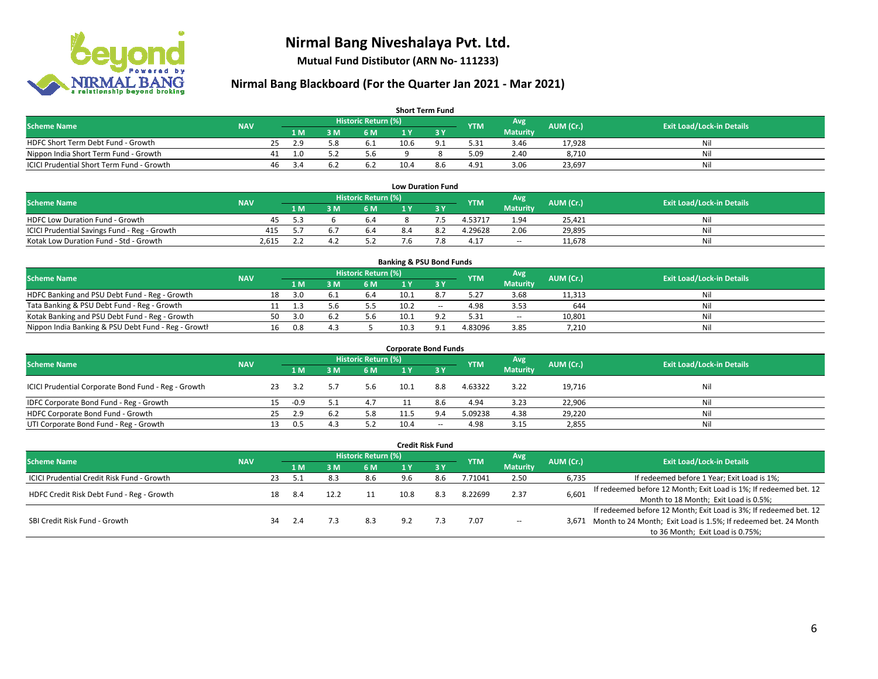

**Mutual Fund Distibutor (ARN No- 111233)**

| <b>Short Term Fund</b>                    |            |    |      |     |                            |      |                |            |                 |           |                                  |  |  |  |
|-------------------------------------------|------------|----|------|-----|----------------------------|------|----------------|------------|-----------------|-----------|----------------------------------|--|--|--|
| <b>Scheme Name</b>                        | <b>NAV</b> |    |      |     | <b>Historic Return (%)</b> |      |                | <b>YTM</b> | Avg             | AUM (Cr.) | <b>Exit Load/Lock-in Details</b> |  |  |  |
|                                           |            |    | 1 M. | 8 M | 6 M                        |      |                |            | <b>Maturity</b> |           |                                  |  |  |  |
| HDFC Short Term Debt Fund - Growth        |            | 25 | 2.9  | 5.8 | 6.1                        | 10.6 | Q <sub>1</sub> | 5.31       | 3.46            | 17,928    | Ni.                              |  |  |  |
| Nippon India Short Term Fund - Growth     |            | 41 | 1.0  |     | 5.6                        |      |                | 5.09       | 2.40            | 8.710     | Ni                               |  |  |  |
| ICICI Prudential Short Term Fund - Growth |            | 46 | -3.4 |     | b.2                        | 10.4 | 8.6            | 4.91       | 3.06            | 23,697    | Nil                              |  |  |  |

| <b>Low Duration Fund</b>                     |            |      |  |                     |     |     |            |                 |           |                                  |  |  |  |  |
|----------------------------------------------|------------|------|--|---------------------|-----|-----|------------|-----------------|-----------|----------------------------------|--|--|--|--|
| <b>Scheme Name</b>                           | <b>NAV</b> |      |  | Historic Return (%) |     |     | <b>YTM</b> | Avg             | AUM (Cr.) | <b>Exit Load/Lock-in Details</b> |  |  |  |  |
|                                              |            | 1 M. |  | 6 M                 |     |     |            | <b>Maturity</b> |           |                                  |  |  |  |  |
| <b>HDFC Low Duration Fund - Growth</b>       | 45         | 5.3  |  | 6.4                 |     |     | 4.53717    | 1.94            | 25.421    | Nil                              |  |  |  |  |
| ICICI Prudential Savings Fund - Reg - Growth | 415        | 55   |  | 6.4                 | 8.4 | 8.2 | 4.29628    | 2.06            | 29.895    | Nil                              |  |  |  |  |
| Kotak Low Duration Fund - Std - Growth       | 2,615      |      |  |                     | 7.6 |     | 4.17       | $\sim$          | 11,678    | Nil                              |  |  |  |  |

| <b>Banking &amp; PSU Bond Funds</b>                 |            |    |     |     |                     |      |        |            |                 |           |                                  |  |  |  |
|-----------------------------------------------------|------------|----|-----|-----|---------------------|------|--------|------------|-----------------|-----------|----------------------------------|--|--|--|
| <b>Scheme Name</b>                                  | <b>NAV</b> |    |     |     | Historic Return (%) |      |        | <b>YTM</b> | Avg             | AUM (Cr.) | <b>Exit Load/Lock-in Details</b> |  |  |  |
|                                                     |            |    | 1 M | : M | 6 M                 |      |        |            | <b>Maturity</b> |           |                                  |  |  |  |
| HDFC Banking and PSU Debt Fund - Reg - Growth       |            | 18 | 3.O |     | 6.4                 | 10.1 |        | 5.27       | 3.68            | 11,313    | Nil                              |  |  |  |
| Tata Banking & PSU Debt Fund - Reg - Growth         |            |    |     |     |                     | 10.2 | $\sim$ | 4.98       | 3.53            | 644       | Nil                              |  |  |  |
| Kotak Banking and PSU Debt Fund - Reg - Growth      |            | 50 | 3.O |     | 5.6                 | 10.1 | o٦     | 5.31       | $\sim$          | 10,801    | Nil                              |  |  |  |
| Nippon India Banking & PSU Debt Fund - Reg - Growth |            | 16 | 0.8 |     |                     | 10.3 | Q      | 4.83096    | 3.85            | 7,210     | Nil                              |  |  |  |

| <b>Corporate Bond Funds</b>                         |            |    |      |     |                            |      |       |            |                 |           |                                  |  |  |
|-----------------------------------------------------|------------|----|------|-----|----------------------------|------|-------|------------|-----------------|-----------|----------------------------------|--|--|
| <b>Scheme Name</b>                                  | <b>NAV</b> |    |      |     | <b>Historic Return (%)</b> |      |       | <b>YTM</b> | Avg             | AUM (Cr.) | <b>Exit Load/Lock-in Details</b> |  |  |
|                                                     |            |    | 1 M  | : M | 6 M                        |      | 3 Y   |            | <b>Maturity</b> |           |                                  |  |  |
| ICICI Prudential Corporate Bond Fund - Reg - Growth |            | 23 | 3.2  |     | 5.6                        | 10.1 | 8.8   | 4.63322    | 3.22            | 19,716    | Nil                              |  |  |
| IDFC Corporate Bond Fund - Reg - Growth             |            | 15 | -0.9 |     | 4.7                        |      | 8.6   | 4.94       | 3.23            | 22,906    | Nil                              |  |  |
| HDFC Corporate Bond Fund - Growth                   |            | 25 | 2.9  | 6.2 | 5.8                        | 11.5 | 9.4   | 5.09238    | 4.38            | 29,220    | Nil                              |  |  |
| UTI Corporate Bond Fund - Reg - Growth              |            |    | 0.5  | 4.3 | 5.2                        | 10.4 | $- -$ | 4.98       | 3.15            | 2,855     | Nil                              |  |  |

| <b>Credit Risk Fund</b>                           |            |    |      |     |                            |      |      |            |                        |           |                                                                       |
|---------------------------------------------------|------------|----|------|-----|----------------------------|------|------|------------|------------------------|-----------|-----------------------------------------------------------------------|
| <b>Scheme Name</b>                                | <b>NAV</b> |    |      |     | <b>Historic Return (%)</b> |      |      | <b>YTM</b> | Avg<br><b>Maturity</b> | AUM (Cr.) | <b>Exit Load/Lock-in Details</b>                                      |
|                                                   |            |    | 1 M  | : M | 6 M                        | 1 Y  | -3 Y |            |                        |           |                                                                       |
| <b>ICICI Prudential Credit Risk Fund - Growth</b> |            | 23 | -5.1 | 8.3 | 8.6                        | 9.6  | 8.6  | 7.71041    | 2.50                   | 6,735     | If redeemed before 1 Year; Exit Load is 1%;                           |
| HDFC Credit Risk Debt Fund - Reg - Growth         |            | 18 |      |     |                            | 10.8 | 8.3  | 8.22699    | 2.37                   | 6,601     | If redeemed before 12 Month; Exit Load is 1%; If redeemed bet. 12     |
|                                                   |            |    | -8.4 |     |                            |      |      |            |                        |           | Month to 18 Month; Exit Load is 0.5%;                                 |
|                                                   |            |    |      |     |                            |      |      |            |                        |           | If redeemed before 12 Month; Exit Load is 3%; If redeemed bet. 12     |
| SBI Credit Risk Fund - Growth                     |            | 34 | 2.4  |     | 8.3                        | 9.2  |      | 7.07       | $\sim$                 |           | 3,671 Month to 24 Month; Exit Load is 1.5%; If redeemed bet. 24 Month |
|                                                   |            |    |      |     |                            |      |      |            |                        |           | to 36 Month; Exit Load is 0.75%;                                      |